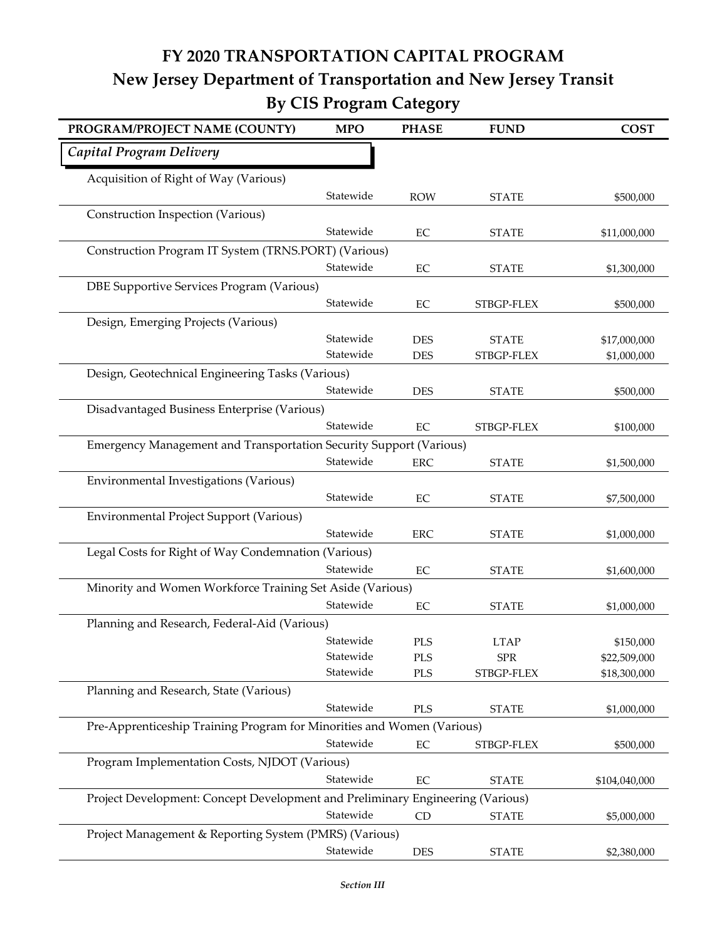## **FY 2020 TRANSPORTATION CAPITAL PROGRAM New Jersey Department of Transportation and New Jersey Transit By CIS Program Category**

| PROGRAM/PROJECT NAME (COUNTY)                                                  | <b>MPO</b> | <b>PHASE</b> | <b>FUND</b>  | <b>COST</b>   |  |
|--------------------------------------------------------------------------------|------------|--------------|--------------|---------------|--|
| Capital Program Delivery                                                       |            |              |              |               |  |
| Acquisition of Right of Way (Various)                                          |            |              |              |               |  |
|                                                                                | Statewide  | <b>ROW</b>   | <b>STATE</b> | \$500,000     |  |
| Construction Inspection (Various)                                              |            |              |              |               |  |
|                                                                                | Statewide  | EC           | <b>STATE</b> | \$11,000,000  |  |
| Construction Program IT System (TRNS.PORT) (Various)                           |            |              |              |               |  |
|                                                                                | Statewide  | $\rm EC$     | <b>STATE</b> | \$1,300,000   |  |
| DBE Supportive Services Program (Various)                                      |            |              |              |               |  |
|                                                                                | Statewide  | EC           | STBGP-FLEX   | \$500,000     |  |
| Design, Emerging Projects (Various)                                            |            |              |              |               |  |
|                                                                                | Statewide  | <b>DES</b>   | <b>STATE</b> | \$17,000,000  |  |
|                                                                                | Statewide  | <b>DES</b>   | STBGP-FLEX   | \$1,000,000   |  |
| Design, Geotechnical Engineering Tasks (Various)                               |            |              |              |               |  |
|                                                                                | Statewide  | <b>DES</b>   | <b>STATE</b> | \$500,000     |  |
| Disadvantaged Business Enterprise (Various)                                    |            |              |              |               |  |
|                                                                                | Statewide  | EC           | STBGP-FLEX   | \$100,000     |  |
| Emergency Management and Transportation Security Support (Various)             |            |              |              |               |  |
|                                                                                | Statewide  | <b>ERC</b>   | <b>STATE</b> | \$1,500,000   |  |
| Environmental Investigations (Various)                                         |            |              |              |               |  |
|                                                                                | Statewide  | EC           | <b>STATE</b> | \$7,500,000   |  |
| Environmental Project Support (Various)                                        |            |              |              |               |  |
|                                                                                | Statewide  | <b>ERC</b>   | <b>STATE</b> | \$1,000,000   |  |
| Legal Costs for Right of Way Condemnation (Various)                            |            |              |              |               |  |
|                                                                                | Statewide  | $\rm EC$     | <b>STATE</b> | \$1,600,000   |  |
| Minority and Women Workforce Training Set Aside (Various)                      |            |              |              |               |  |
|                                                                                | Statewide  | $\rm EC$     | <b>STATE</b> | \$1,000,000   |  |
| Planning and Research, Federal-Aid (Various)                                   |            |              |              |               |  |
|                                                                                | Statewide  | <b>PLS</b>   | <b>LTAP</b>  | \$150,000     |  |
|                                                                                | Statewide  | PLS          | ${\rm SPR}$  | \$22,509,000  |  |
|                                                                                | Statewide  | PLS          | STBGP-FLEX   | \$18,300,000  |  |
| Planning and Research, State (Various)                                         |            |              |              |               |  |
|                                                                                | Statewide  | PLS          | <b>STATE</b> | \$1,000,000   |  |
| Pre-Apprenticeship Training Program for Minorities and Women (Various)         |            |              |              |               |  |
|                                                                                | Statewide  | $\rm EC$     | STBGP-FLEX   | \$500,000     |  |
| Program Implementation Costs, NJDOT (Various)                                  |            |              |              |               |  |
|                                                                                | Statewide  | EC           | <b>STATE</b> | \$104,040,000 |  |
| Project Development: Concept Development and Preliminary Engineering (Various) |            |              |              |               |  |
|                                                                                | Statewide  | <b>CD</b>    | <b>STATE</b> | \$5,000,000   |  |
| Project Management & Reporting System (PMRS) (Various)                         |            |              |              |               |  |
|                                                                                | Statewide  |              |              |               |  |
|                                                                                |            | <b>DES</b>   | <b>STATE</b> | \$2,380,000   |  |